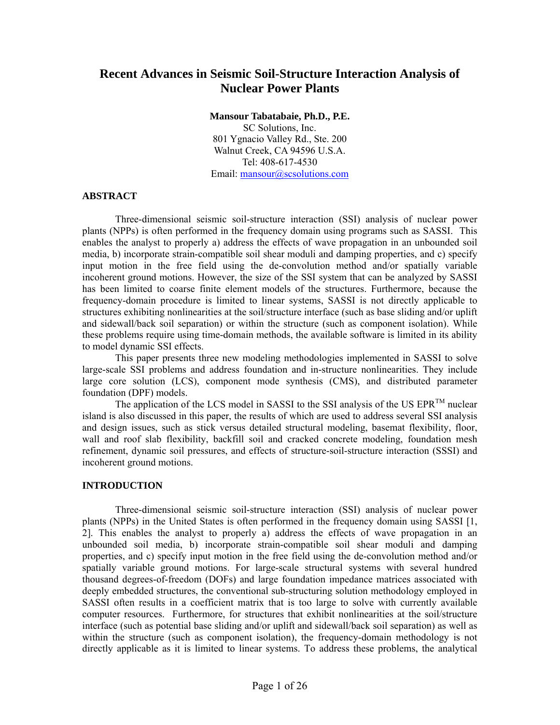# **Recent Advances in Seismic Soil-Structure Interaction Analysis of Nuclear Power Plants**

**Mansour Tabatabaie, Ph.D., P.E.** 

SC Solutions, Inc. 801 Ygnacio Valley Rd., Ste. 200 Walnut Creek, CA 94596 U.S.A. Tel: 408-617-4530 Email: mansour@scsolutions.com

#### **ABSTRACT**

Three-dimensional seismic soil-structure interaction (SSI) analysis of nuclear power plants (NPPs) is often performed in the frequency domain using programs such as SASSI. This enables the analyst to properly a) address the effects of wave propagation in an unbounded soil media, b) incorporate strain-compatible soil shear moduli and damping properties, and c) specify input motion in the free field using the de-convolution method and/or spatially variable incoherent ground motions. However, the size of the SSI system that can be analyzed by SASSI has been limited to coarse finite element models of the structures. Furthermore, because the frequency-domain procedure is limited to linear systems, SASSI is not directly applicable to structures exhibiting nonlinearities at the soil/structure interface (such as base sliding and/or uplift and sidewall/back soil separation) or within the structure (such as component isolation). While these problems require using time-domain methods, the available software is limited in its ability to model dynamic SSI effects.

This paper presents three new modeling methodologies implemented in SASSI to solve large-scale SSI problems and address foundation and in-structure nonlinearities. They include large core solution (LCS), component mode synthesis (CMS), and distributed parameter foundation (DPF) models.

The application of the LCS model in SASSI to the SSI analysis of the US  $EPR^{TM}$  nuclear island is also discussed in this paper, the results of which are used to address several SSI analysis and design issues, such as stick versus detailed structural modeling, basemat flexibility, floor, wall and roof slab flexibility, backfill soil and cracked concrete modeling, foundation mesh refinement, dynamic soil pressures, and effects of structure-soil-structure interaction (SSSI) and incoherent ground motions.

#### **INTRODUCTION**

Three-dimensional seismic soil-structure interaction (SSI) analysis of nuclear power plants (NPPs) in the United States is often performed in the frequency domain using SASSI [1, 2]. This enables the analyst to properly a) address the effects of wave propagation in an unbounded soil media, b) incorporate strain-compatible soil shear moduli and damping properties, and c) specify input motion in the free field using the de-convolution method and/or spatially variable ground motions. For large-scale structural systems with several hundred thousand degrees-of-freedom (DOFs) and large foundation impedance matrices associated with deeply embedded structures, the conventional sub-structuring solution methodology employed in SASSI often results in a coefficient matrix that is too large to solve with currently available computer resources. Furthermore, for structures that exhibit nonlinearities at the soil/structure interface (such as potential base sliding and/or uplift and sidewall/back soil separation) as well as within the structure (such as component isolation), the frequency-domain methodology is not directly applicable as it is limited to linear systems. To address these problems, the analytical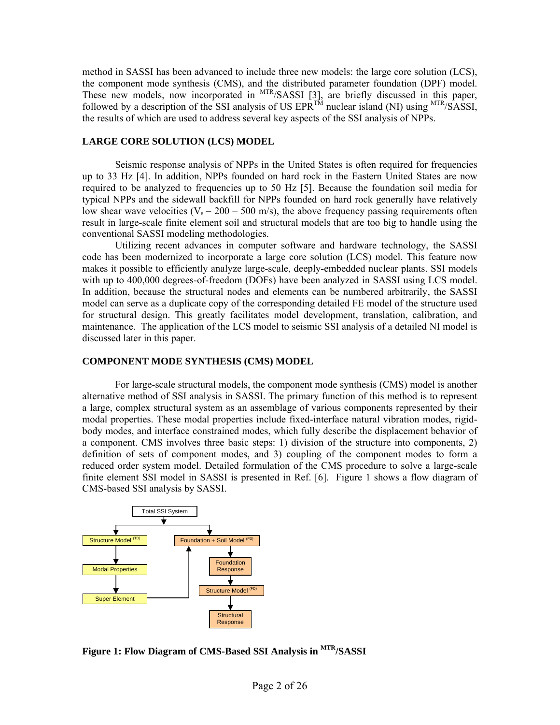method in SASSI has been advanced to include three new models: the large core solution (LCS), the component mode synthesis (CMS), and the distributed parameter foundation (DPF) model. These new models, now incorporated in <sup>MTR</sup>/SASSI [3], are briefly discussed in this paper, followed by a description of the SSI analysis of US  $EPR^{TM}$  nuclear island (NI) using  $MTR/SASSI$ , the results of which are used to address several key aspects of the SSI analysis of NPPs.

#### **LARGE CORE SOLUTION (LCS) MODEL**

 Seismic response analysis of NPPs in the United States is often required for frequencies up to 33 Hz [4]. In addition, NPPs founded on hard rock in the Eastern United States are now required to be analyzed to frequencies up to 50 Hz [5]. Because the foundation soil media for typical NPPs and the sidewall backfill for NPPs founded on hard rock generally have relatively low shear wave velocities ( $V_s = 200 - 500$  m/s), the above frequency passing requirements often result in large-scale finite element soil and structural models that are too big to handle using the conventional SASSI modeling methodologies.

Utilizing recent advances in computer software and hardware technology, the SASSI code has been modernized to incorporate a large core solution (LCS) model. This feature now makes it possible to efficiently analyze large-scale, deeply-embedded nuclear plants. SSI models with up to 400,000 degrees-of-freedom (DOFs) have been analyzed in SASSI using LCS model. In addition, because the structural nodes and elements can be numbered arbitrarily, the SASSI model can serve as a duplicate copy of the corresponding detailed FE model of the structure used for structural design. This greatly facilitates model development, translation, calibration, and maintenance. The application of the LCS model to seismic SSI analysis of a detailed NI model is discussed later in this paper.

#### **COMPONENT MODE SYNTHESIS (CMS) MODEL**

For large-scale structural models, the component mode synthesis (CMS) model is another alternative method of SSI analysis in SASSI. The primary function of this method is to represent a large, complex structural system as an assemblage of various components represented by their modal properties. These modal properties include fixed-interface natural vibration modes, rigidbody modes, and interface constrained modes, which fully describe the displacement behavior of a component. CMS involves three basic steps: 1) division of the structure into components, 2) definition of sets of component modes, and 3) coupling of the component modes to form a reduced order system model. Detailed formulation of the CMS procedure to solve a large-scale finite element SSI model in SASSI is presented in Ref. [6]. Figure 1 shows a flow diagram of CMS-based SSI analysis by SASSI.



**Figure 1: Flow Diagram of CMS-Based SSI Analysis in MTR/SASSI**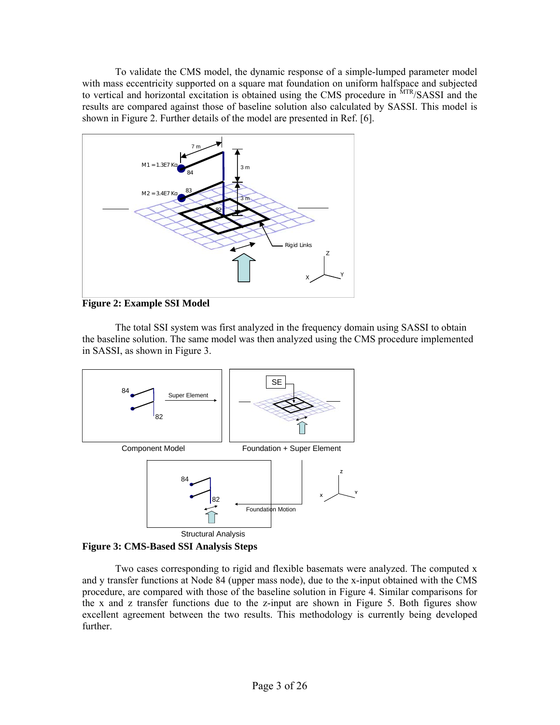To validate the CMS model, the dynamic response of a simple-lumped parameter model with mass eccentricity supported on a square mat foundation on uniform halfspace and subjected to vertical and horizontal excitation is obtained using the CMS procedure in <sup>MTR</sup>/SASSI and the results are compared against those of baseline solution also calculated by SASSI. This model is shown in Figure 2. Further details of the model are presented in Ref. [6].



**Figure 2: Example SSI Model** 

The total SSI system was first analyzed in the frequency domain using SASSI to obtain the baseline solution. The same model was then analyzed using the CMS procedure implemented in SASSI, as shown in Figure 3.





Two cases corresponding to rigid and flexible basemats were analyzed. The computed x and y transfer functions at Node 84 (upper mass node), due to the x-input obtained with the CMS procedure, are compared with those of the baseline solution in Figure 4. Similar comparisons for the x and z transfer functions due to the z-input are shown in Figure 5. Both figures show excellent agreement between the two results. This methodology is currently being developed further.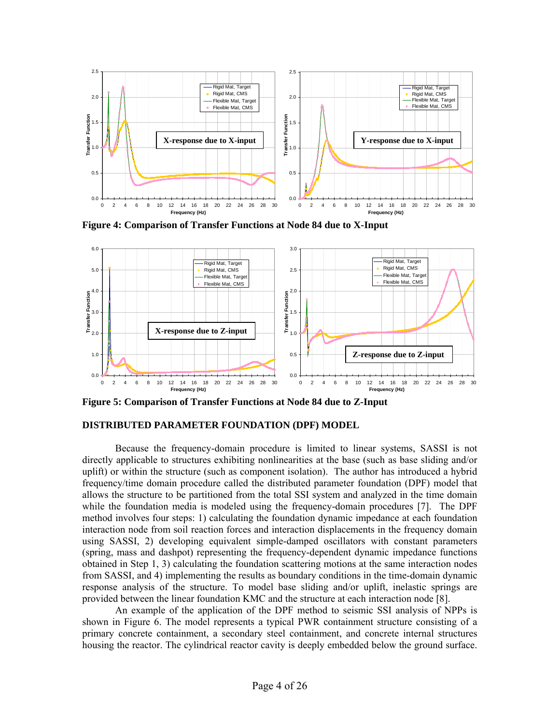

**Figure 4: Comparison of Transfer Functions at Node 84 due to X-Input** 



**Figure 5: Comparison of Transfer Functions at Node 84 due to Z-Input** 

#### **DISTRIBUTED PARAMETER FOUNDATION (DPF) MODEL**

Because the frequency-domain procedure is limited to linear systems, SASSI is not directly applicable to structures exhibiting nonlinearities at the base (such as base sliding and/or uplift) or within the structure (such as component isolation). The author has introduced a hybrid frequency/time domain procedure called the distributed parameter foundation (DPF) model that allows the structure to be partitioned from the total SSI system and analyzed in the time domain while the foundation media is modeled using the frequency-domain procedures [7]. The DPF method involves four steps: 1) calculating the foundation dynamic impedance at each foundation interaction node from soil reaction forces and interaction displacements in the frequency domain using SASSI, 2) developing equivalent simple-damped oscillators with constant parameters (spring, mass and dashpot) representing the frequency-dependent dynamic impedance functions obtained in Step 1, 3) calculating the foundation scattering motions at the same interaction nodes from SASSI, and 4) implementing the results as boundary conditions in the time-domain dynamic response analysis of the structure. To model base sliding and/or uplift, inelastic springs are provided between the linear foundation KMC and the structure at each interaction node [8].

An example of the application of the DPF method to seismic SSI analysis of NPPs is shown in Figure 6. The model represents a typical PWR containment structure consisting of a primary concrete containment, a secondary steel containment, and concrete internal structures housing the reactor. The cylindrical reactor cavity is deeply embedded below the ground surface.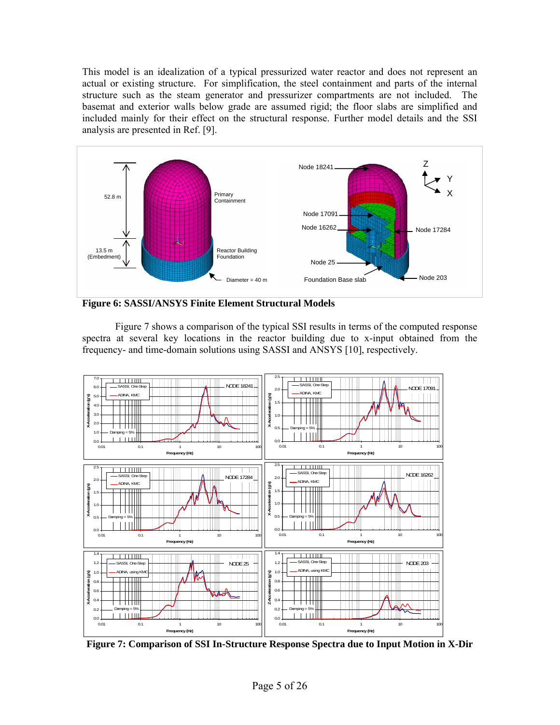This model is an idealization of a typical pressurized water reactor and does not represent an actual or existing structure. For simplification, the steel containment and parts of the internal structure such as the steam generator and pressurizer compartments are not included. The basemat and exterior walls below grade are assumed rigid; the floor slabs are simplified and included mainly for their effect on the structural response. Further model details and the SSI analysis are presented in Ref. [9].



**Figure 6: SASSI/ANSYS Finite Element Structural Models** 

Figure 7 shows a comparison of the typical SSI results in terms of the computed response spectra at several key locations in the reactor building due to x-input obtained from the frequency- and time-domain solutions using SASSI and ANSYS [10], respectively.



**Figure 7: Comparison of SSI In-Structure Response Spectra due to Input Motion in X-Dir**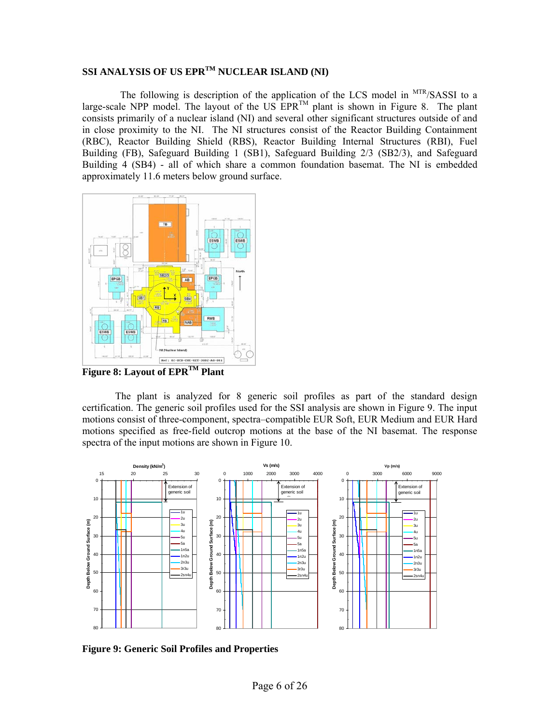# SSI ANALYSIS OF US EPR<sup>TM</sup> NUCLEAR ISLAND (NI)

The following is description of the application of the LCS model in <sup>MTR</sup>/SASSI to a large-scale NPP model. The layout of the US  $EPR^{TM}$  plant is shown in Figure 8. The plant consists primarily of a nuclear island (NI) and several other significant structures outside of and in close proximity to the NI. The NI structures consist of the Reactor Building Containment (RBC), Reactor Building Shield (RBS), Reactor Building Internal Structures (RBI), Fuel Building (FB), Safeguard Building 1 (SB1), Safeguard Building 2/3 (SB2/3), and Safeguard Building 4 (SB4) - all of which share a common foundation basemat. The NI is embedded approximately 11.6 meters below ground surface.



**Figure 8: Layout of EPRTM Plant** 

The plant is analyzed for 8 generic soil profiles as part of the standard design certification. The generic soil profiles used for the SSI analysis are shown in Figure 9. The input motions consist of three-component, spectra–compatible EUR Soft, EUR Medium and EUR Hard motions specified as free-field outcrop motions at the base of the NI basemat. The response spectra of the input motions are shown in Figure 10.



**Figure 9: Generic Soil Profiles and Properties**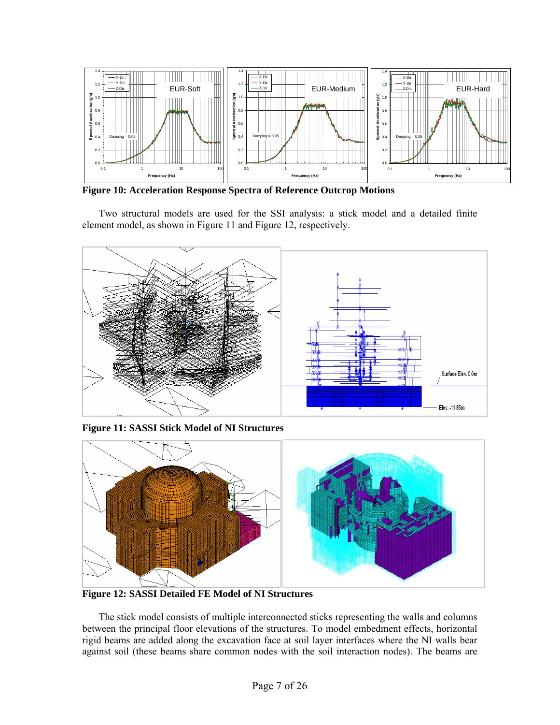

**Figure 10: Acceleration Response Spectra of Reference Outcrop Motions** 

Two structural models are used for the SSI analysis: a stick model and a detailed finite element model, as shown in Figure 11 and Figure 12, respectively.



**Figure 11: SASSI Stick Model of NI Structures** 



**Figure 12: SASSI Detailed FE Model of NI Structures** 

The stick model consists of multiple interconnected sticks representing the walls and columns between the principal floor elevations of the structures. To model embedment effects, horizontal rigid beams are added along the excavation face at soil layer interfaces where the NI walls bear against soil (these beams share common nodes with the soil interaction nodes). The beams are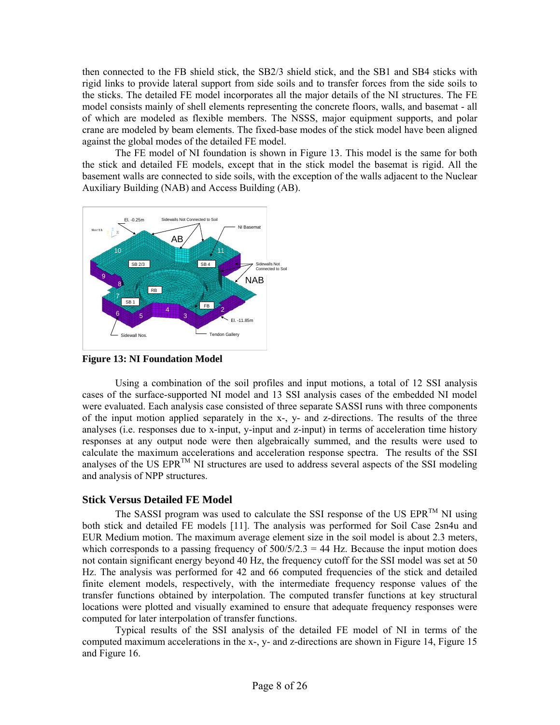then connected to the FB shield stick, the SB2/3 shield stick, and the SB1 and SB4 sticks with rigid links to provide lateral support from side soils and to transfer forces from the side soils to the sticks. The detailed FE model incorporates all the major details of the NI structures. The FE model consists mainly of shell elements representing the concrete floors, walls, and basemat - all of which are modeled as flexible members. The NSSS, major equipment supports, and polar crane are modeled by beam elements. The fixed-base modes of the stick model have been aligned against the global modes of the detailed FE model.

The FE model of NI foundation is shown in Figure 13. This model is the same for both the stick and detailed FE models, except that in the stick model the basemat is rigid. All the basement walls are connected to side soils, with the exception of the walls adjacent to the Nuclear Auxiliary Building (NAB) and Access Building (AB).



**Figure 13: NI Foundation Model** 

Using a combination of the soil profiles and input motions, a total of 12 SSI analysis cases of the surface-supported NI model and 13 SSI analysis cases of the embedded NI model were evaluated. Each analysis case consisted of three separate SASSI runs with three components of the input motion applied separately in the x-, y- and z-directions. The results of the three analyses (i.e. responses due to x-input, y-input and z-input) in terms of acceleration time history responses at any output node were then algebraically summed, and the results were used to calculate the maximum accelerations and acceleration response spectra. The results of the SSI analyses of the US EPR<sup>TM</sup> NI structures are used to address several aspects of the SSI modeling and analysis of NPP structures.

## **Stick Versus Detailed FE Model**

The SASSI program was used to calculate the SSI response of the US  $EPR^{TM}$  NI using both stick and detailed FE models [11]. The analysis was performed for Soil Case 2sn4u and EUR Medium motion. The maximum average element size in the soil model is about 2.3 meters, which corresponds to a passing frequency of  $500/5/2.3 = 44$  Hz. Because the input motion does not contain significant energy beyond 40 Hz, the frequency cutoff for the SSI model was set at 50 Hz. The analysis was performed for 42 and 66 computed frequencies of the stick and detailed finite element models, respectively, with the intermediate frequency response values of the transfer functions obtained by interpolation. The computed transfer functions at key structural locations were plotted and visually examined to ensure that adequate frequency responses were computed for later interpolation of transfer functions.

Typical results of the SSI analysis of the detailed FE model of NI in terms of the computed maximum accelerations in the x-, y- and z-directions are shown in Figure 14, Figure 15 and Figure 16.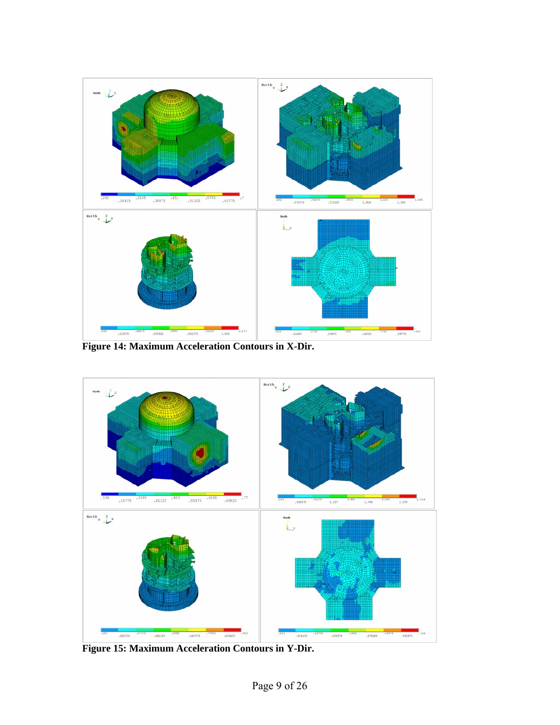

**Figure 14: Maximum Acceleration Contours in X-Dir.** 



**Figure 15: Maximum Acceleration Contours in Y-Dir.**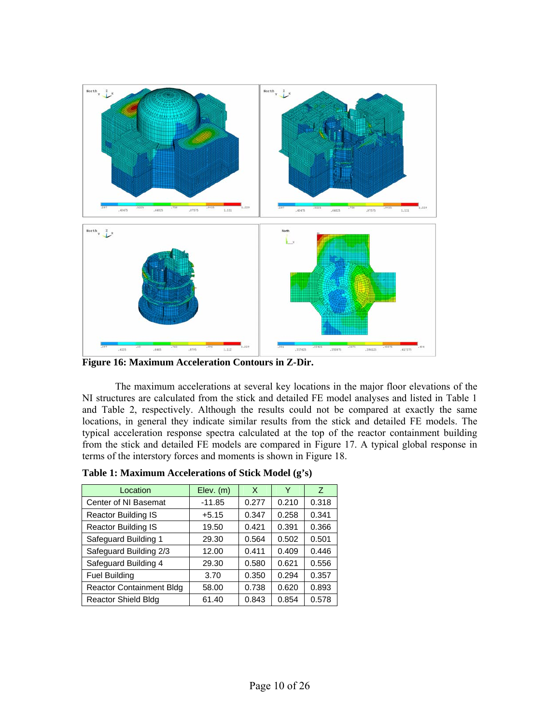

**Figure 16: Maximum Acceleration Contours in Z-Dir.** 

 The maximum accelerations at several key locations in the major floor elevations of the NI structures are calculated from the stick and detailed FE model analyses and listed in Table 1 and Table 2, respectively. Although the results could not be compared at exactly the same locations, in general they indicate similar results from the stick and detailed FE models. The typical acceleration response spectra calculated at the top of the reactor containment building from the stick and detailed FE models are compared in Figure 17. A typical global response in terms of the interstory forces and moments is shown in Figure 18.

| Location                        | $Elev.$ (m) | X     | Υ     | Z     |
|---------------------------------|-------------|-------|-------|-------|
| Center of NI Basemat            | $-11.85$    | 0.277 | 0.210 | 0.318 |
| <b>Reactor Building IS</b>      | $+5.15$     | 0.347 | 0.258 | 0.341 |
| <b>Reactor Building IS</b>      | 19.50       | 0.421 | 0.391 | 0.366 |
| Safeguard Building 1            | 29.30       | 0.564 | 0.502 | 0.501 |
| Safeguard Building 2/3          | 12.00       | 0.411 | 0.409 | 0.446 |
| Safeguard Building 4            | 29.30       | 0.580 | 0.621 | 0.556 |
| <b>Fuel Building</b>            | 3.70        | 0.350 | 0.294 | 0.357 |
| <b>Reactor Containment Bldg</b> | 58.00       | 0.738 | 0.620 | 0.893 |
| <b>Reactor Shield Bldg</b>      | 61.40       | 0.843 | 0.854 | 0.578 |

| Table 1: Maximum Accelerations of Stick Model (g's) |
|-----------------------------------------------------|
|-----------------------------------------------------|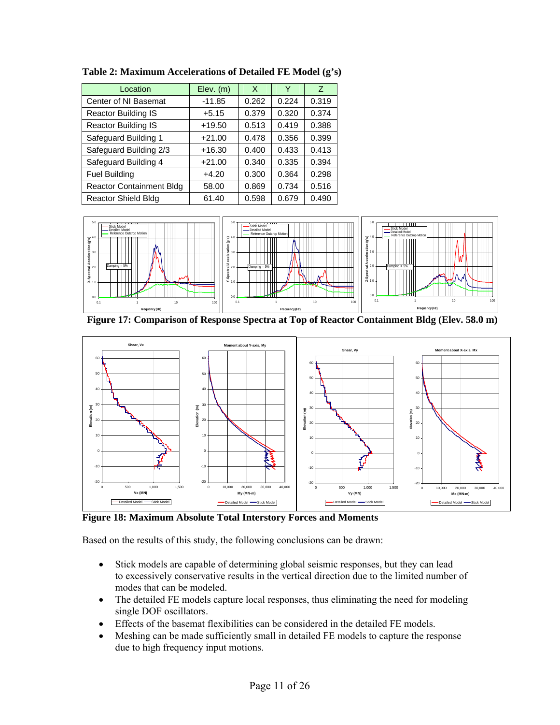| Location                        | $Elev.$ (m) | X     | Y     | Z     |
|---------------------------------|-------------|-------|-------|-------|
| Center of NI Basemat            | $-11.85$    | 0.262 | 0.224 | 0.319 |
| Reactor Building IS             | $+5.15$     | 0.379 | 0.320 | 0.374 |
| <b>Reactor Building IS</b>      | $+19.50$    | 0.513 | 0.419 | 0.388 |
| Safeguard Building 1            | $+21.00$    | 0.478 | 0.356 | 0.399 |
| Safeguard Building 2/3          | $+16.30$    | 0.400 | 0.433 | 0.413 |
| Safeguard Building 4            | $+21.00$    | 0.340 | 0.335 | 0.394 |
| <b>Fuel Building</b>            | $+4.20$     | 0.300 | 0.364 | 0.298 |
| <b>Reactor Containment Bldg</b> | 58.00       | 0.869 | 0.734 | 0.516 |
| <b>Reactor Shield Bldg</b>      | 61.40       | 0.598 | 0.679 | 0.490 |

**Table 2: Maximum Accelerations of Detailed FE Model (g's)** 



**Figure 17: Comparison of Response Spectra at Top of Reactor Containment Bldg (Elev. 58.0 m)** 



**Figure 18: Maximum Absolute Total Interstory Forces and Moments** 

Based on the results of this study, the following conclusions can be drawn:

- Stick models are capable of determining global seismic responses, but they can lead to excessively conservative results in the vertical direction due to the limited number of modes that can be modeled.
- The detailed FE models capture local responses, thus eliminating the need for modeling single DOF oscillators.
- Effects of the basemat flexibilities can be considered in the detailed FE models.
- Meshing can be made sufficiently small in detailed FE models to capture the response due to high frequency input motions.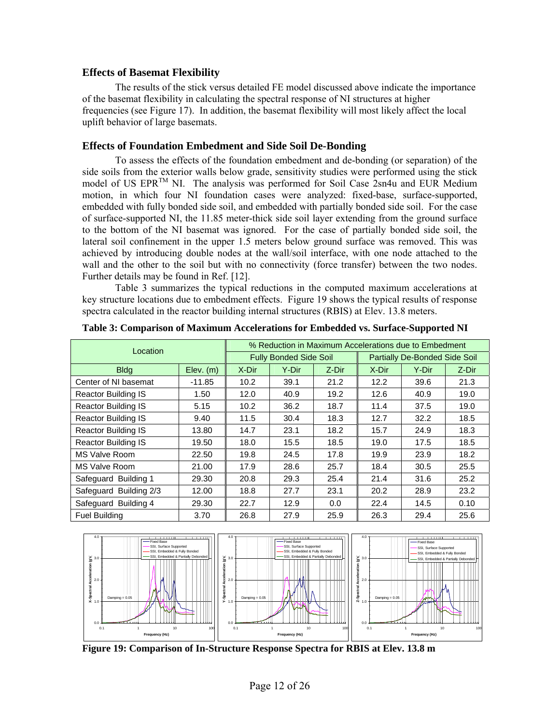#### **Effects of Basemat Flexibility**

The results of the stick versus detailed FE model discussed above indicate the importance of the basemat flexibility in calculating the spectral response of NI structures at higher frequencies (see Figure 17). In addition, the basemat flexibility will most likely affect the local uplift behavior of large basemats.

## **Effects of Foundation Embedment and Side Soil De-Bonding**

To assess the effects of the foundation embedment and de-bonding (or separation) of the side soils from the exterior walls below grade, sensitivity studies were performed using the stick model of US EPR<sup>TM</sup> NI. The analysis was performed for Soil Case 2sn4u and EUR Medium motion, in which four NI foundation cases were analyzed: fixed-base, surface-supported, embedded with fully bonded side soil, and embedded with partially bonded side soil. For the case of surface-supported NI, the 11.85 meter-thick side soil layer extending from the ground surface to the bottom of the NI basemat was ignored. For the case of partially bonded side soil, the lateral soil confinement in the upper 1.5 meters below ground surface was removed. This was achieved by introducing double nodes at the wall/soil interface, with one node attached to the wall and the other to the soil but with no connectivity (force transfer) between the two nodes. Further details may be found in Ref. [12].

Table 3 summarizes the typical reductions in the computed maximum accelerations at key structure locations due to embedment effects. Figure 19 shows the typical results of response spectra calculated in the reactor building internal structures (RBIS) at Elev. 13.8 meters.

| Location                   |           | % Reduction in Maximum Accelerations due to Embedment |                               |       |                                      |       |       |  |  |  |
|----------------------------|-----------|-------------------------------------------------------|-------------------------------|-------|--------------------------------------|-------|-------|--|--|--|
|                            |           |                                                       | <b>Fully Bonded Side Soil</b> |       | <b>Partially De-Bonded Side Soil</b> |       |       |  |  |  |
| <b>Bldg</b>                | Elev. (m) | X-Dir                                                 | Y-Dir                         | Z-Dir | X-Dir                                | Y-Dir | Z-Dir |  |  |  |
| Center of NI basemat       | $-11.85$  | 10.2                                                  | 39.1                          | 21.2  | 12.2                                 | 39.6  | 21.3  |  |  |  |
| <b>Reactor Building IS</b> | 1.50      | 12.0                                                  | 40.9                          | 19.2  | 12.6                                 | 40.9  | 19.0  |  |  |  |
| <b>Reactor Building IS</b> | 5.15      | 10.2                                                  | 36.2                          | 18.7  | 11.4                                 | 37.5  | 19.0  |  |  |  |
| <b>Reactor Building IS</b> | 9.40      | 11.5                                                  | 30.4                          | 18.3  | 12.7                                 | 32.2  | 18.5  |  |  |  |
| <b>Reactor Building IS</b> | 13.80     | 14.7                                                  | 23.1                          | 18.2  | 15.7                                 | 24.9  | 18.3  |  |  |  |
| <b>Reactor Building IS</b> | 19.50     | 18.0                                                  | 15.5                          | 18.5  | 19.0                                 | 17.5  | 18.5  |  |  |  |
| MS Valve Room              | 22.50     | 19.8                                                  | 24.5                          | 17.8  | 19.9                                 | 23.9  | 18.2  |  |  |  |
| MS Valve Room              | 21.00     | 17.9                                                  | 28.6                          | 25.7  | 18.4                                 | 30.5  | 25.5  |  |  |  |
| Safeguard Building 1       | 29.30     | 20.8                                                  | 29.3                          | 25.4  | 21.4                                 | 31.6  | 25.2  |  |  |  |
| Safeguard Building 2/3     | 12.00     | 18.8                                                  | 27.7                          | 23.1  | 20.2                                 | 28.9  | 23.2  |  |  |  |
| Safeguard Building 4       | 29.30     | 22.7                                                  | 12.9                          | 0.0   | 22.4                                 | 14.5  | 0.10  |  |  |  |
| <b>Fuel Building</b>       | 3.70      | 26.8                                                  | 27.9                          | 25.9  | 26.3                                 | 29.4  | 25.6  |  |  |  |

**Table 3: Comparison of Maximum Accelerations for Embedded vs. Surface-Supported NI**



**Figure 19: Comparison of In-Structure Response Spectra for RBIS at Elev. 13.8 m**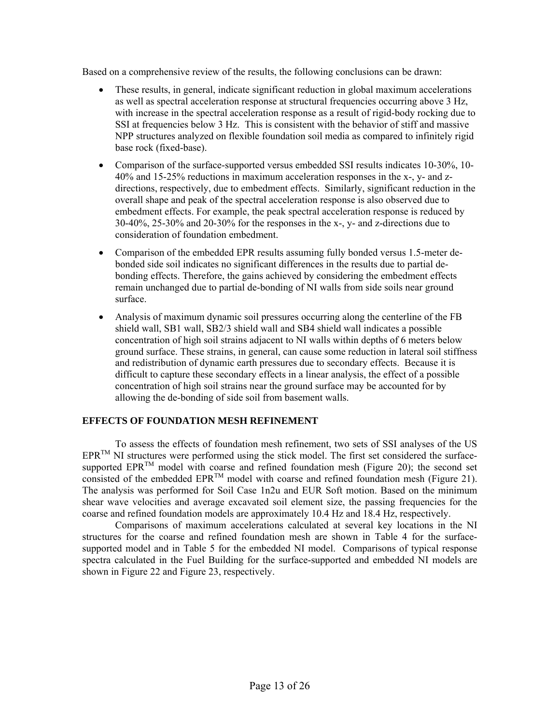Based on a comprehensive review of the results, the following conclusions can be drawn:

- These results, in general, indicate significant reduction in global maximum accelerations as well as spectral acceleration response at structural frequencies occurring above 3 Hz, with increase in the spectral acceleration response as a result of rigid-body rocking due to SSI at frequencies below 3 Hz. This is consistent with the behavior of stiff and massive NPP structures analyzed on flexible foundation soil media as compared to infinitely rigid base rock (fixed-base).
- Comparison of the surface-supported versus embedded SSI results indicates 10-30%, 10- 40% and 15-25% reductions in maximum acceleration responses in the x-, y- and zdirections, respectively, due to embedment effects. Similarly, significant reduction in the overall shape and peak of the spectral acceleration response is also observed due to embedment effects. For example, the peak spectral acceleration response is reduced by 30-40%, 25-30% and 20-30% for the responses in the x-, y- and z-directions due to consideration of foundation embedment.
- Comparison of the embedded EPR results assuming fully bonded versus 1.5-meter debonded side soil indicates no significant differences in the results due to partial debonding effects. Therefore, the gains achieved by considering the embedment effects remain unchanged due to partial de-bonding of NI walls from side soils near ground surface.
- Analysis of maximum dynamic soil pressures occurring along the centerline of the FB shield wall, SB1 wall, SB2/3 shield wall and SB4 shield wall indicates a possible concentration of high soil strains adjacent to NI walls within depths of 6 meters below ground surface. These strains, in general, can cause some reduction in lateral soil stiffness and redistribution of dynamic earth pressures due to secondary effects. Because it is difficult to capture these secondary effects in a linear analysis, the effect of a possible concentration of high soil strains near the ground surface may be accounted for by allowing the de-bonding of side soil from basement walls.

## **EFFECTS OF FOUNDATION MESH REFINEMENT**

To assess the effects of foundation mesh refinement, two sets of SSI analyses of the US  $EPR^{TM}$  NI structures were performed using the stick model. The first set considered the surfacesupported EPR<sup>TM</sup> model with coarse and refined foundation mesh (Figure 20); the second set consisted of the embedded  $EPR^{TM}$  model with coarse and refined foundation mesh (Figure 21). The analysis was performed for Soil Case 1n2u and EUR Soft motion. Based on the minimum shear wave velocities and average excavated soil element size, the passing frequencies for the coarse and refined foundation models are approximately 10.4 Hz and 18.4 Hz, respectively.

Comparisons of maximum accelerations calculated at several key locations in the NI structures for the coarse and refined foundation mesh are shown in Table 4 for the surfacesupported model and in Table 5 for the embedded NI model. Comparisons of typical response spectra calculated in the Fuel Building for the surface-supported and embedded NI models are shown in Figure 22 and Figure 23, respectively.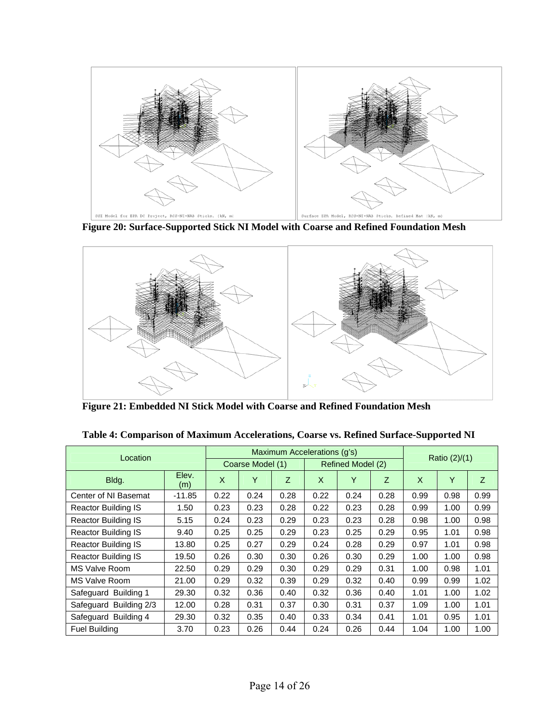

**Figure 20: Surface-Supported Stick NI Model with Coarse and Refined Foundation Mesh**



**Figure 21: Embedded NI Stick Model with Coarse and Refined Foundation Mesh**

| Location                   |              | Maximum Accelerations (q's) |      |      |                   |      |      |                 |      |      |  |
|----------------------------|--------------|-----------------------------|------|------|-------------------|------|------|-----------------|------|------|--|
|                            |              | Coarse Model (1)            |      |      | Refined Model (2) |      |      | Ratio $(2)/(1)$ |      |      |  |
| Bldg.                      | Elev.<br>(m) | X                           | Υ    | Z    | X                 | Y    | Z.   | X               | Y    | Z    |  |
| Center of NI Basemat       | $-11.85$     | 0.22                        | 0.24 | 0.28 | 0.22              | 0.24 | 0.28 | 0.99            | 0.98 | 0.99 |  |
| Reactor Building IS        | 1.50         | 0.23                        | 0.23 | 0.28 | 0.22              | 0.23 | 0.28 | 0.99            | 1.00 | 0.99 |  |
| <b>Reactor Building IS</b> | 5.15         | 0.24                        | 0.23 | 0.29 | 0.23              | 0.23 | 0.28 | 0.98            | 1.00 | 0.98 |  |
| <b>Reactor Building IS</b> | 9.40         | 0.25                        | 0.25 | 0.29 | 0.23              | 0.25 | 0.29 | 0.95            | 1.01 | 0.98 |  |
| <b>Reactor Building IS</b> | 13.80        | 0.25                        | 0.27 | 0.29 | 0.24              | 0.28 | 0.29 | 0.97            | 1.01 | 0.98 |  |
| <b>Reactor Building IS</b> | 19.50        | 0.26                        | 0.30 | 0.30 | 0.26              | 0.30 | 0.29 | 1.00            | 1.00 | 0.98 |  |
| MS Valve Room              | 22.50        | 0.29                        | 0.29 | 0.30 | 0.29              | 0.29 | 0.31 | 1.00            | 0.98 | 1.01 |  |
| MS Valve Room              | 21.00        | 0.29                        | 0.32 | 0.39 | 0.29              | 0.32 | 0.40 | 0.99            | 0.99 | 1.02 |  |
| Safeguard Building 1       | 29.30        | 0.32                        | 0.36 | 0.40 | 0.32              | 0.36 | 0.40 | 1.01            | 1.00 | 1.02 |  |
| Safeguard Building 2/3     | 12.00        | 0.28                        | 0.31 | 0.37 | 0.30              | 0.31 | 0.37 | 1.09            | 1.00 | 1.01 |  |
| Safeguard Building 4       | 29.30        | 0.32                        | 0.35 | 0.40 | 0.33              | 0.34 | 0.41 | 1.01            | 0.95 | 1.01 |  |
| <b>Fuel Building</b>       | 3.70         | 0.23                        | 0.26 | 0.44 | 0.24              | 0.26 | 0.44 | 1.04            | 1.00 | 1.00 |  |

**Table 4: Comparison of Maximum Accelerations, Coarse vs. Refined Surface-Supported NI**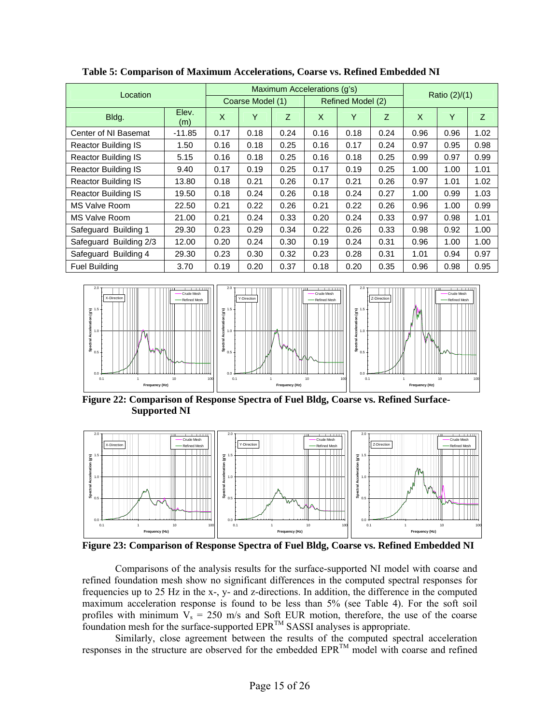| Location                   |              | Maximum Accelerations (g's) |      |      |                   |      |      |      | Ratio (2)/(1) |      |  |
|----------------------------|--------------|-----------------------------|------|------|-------------------|------|------|------|---------------|------|--|
|                            |              | Coarse Model (1)            |      |      | Refined Model (2) |      |      |      |               |      |  |
| Bldg.                      | Elev.<br>(m) | X                           | Y    | Z    | X                 | Y    | Z    | X    | Y             | Z    |  |
| Center of NI Basemat       | $-11.85$     | 0.17                        | 0.18 | 0.24 | 0.16              | 0.18 | 0.24 | 0.96 | 0.96          | 1.02 |  |
| <b>Reactor Building IS</b> | 1.50         | 0.16                        | 0.18 | 0.25 | 0.16              | 0.17 | 0.24 | 0.97 | 0.95          | 0.98 |  |
| <b>Reactor Building IS</b> | 5.15         | 0.16                        | 0.18 | 0.25 | 0.16              | 0.18 | 0.25 | 0.99 | 0.97          | 0.99 |  |
| <b>Reactor Building IS</b> | 9.40         | 0.17                        | 0.19 | 0.25 | 0.17              | 0.19 | 0.25 | 1.00 | 1.00          | 1.01 |  |
| <b>Reactor Building IS</b> | 13.80        | 0.18                        | 0.21 | 0.26 | 0.17              | 0.21 | 0.26 | 0.97 | 1.01          | 1.02 |  |
| <b>Reactor Building IS</b> | 19.50        | 0.18                        | 0.24 | 0.26 | 0.18              | 0.24 | 0.27 | 1.00 | 0.99          | 1.03 |  |
| <b>MS Valve Room</b>       | 22.50        | 0.21                        | 0.22 | 0.26 | 0.21              | 0.22 | 0.26 | 0.96 | 1.00          | 0.99 |  |
| <b>MS Valve Room</b>       | 21.00        | 0.21                        | 0.24 | 0.33 | 0.20              | 0.24 | 0.33 | 0.97 | 0.98          | 1.01 |  |
| Safeguard Building 1       | 29.30        | 0.23                        | 0.29 | 0.34 | 0.22              | 0.26 | 0.33 | 0.98 | 0.92          | 1.00 |  |
| Safeguard Building 2/3     | 12.00        | 0.20                        | 0.24 | 0.30 | 0.19              | 0.24 | 0.31 | 0.96 | 1.00          | 1.00 |  |
| Safeguard Building 4       | 29.30        | 0.23                        | 0.30 | 0.32 | 0.23              | 0.28 | 0.31 | 1.01 | 0.94          | 0.97 |  |
| <b>Fuel Building</b>       | 3.70         | 0.19                        | 0.20 | 0.37 | 0.18              | 0.20 | 0.35 | 0.96 | 0.98          | 0.95 |  |

**Table 5: Comparison of Maximum Accelerations, Coarse vs. Refined Embedded NI** 



**Figure 22: Comparison of Response Spectra of Fuel Bldg, Coarse vs. Refined Surface-Supported NI** 



**Figure 23: Comparison of Response Spectra of Fuel Bldg, Coarse vs. Refined Embedded NI** 

Comparisons of the analysis results for the surface-supported NI model with coarse and refined foundation mesh show no significant differences in the computed spectral responses for frequencies up to 25 Hz in the x-, y- and z-directions. In addition, the difference in the computed maximum acceleration response is found to be less than 5% (see Table 4). For the soft soil profiles with minimum  $V_s = 250$  m/s and Soft EUR motion, therefore, the use of the coarse foundation mesh for the surface-supported  $EPR^{TM}$  SASSI analyses is appropriate.

Similarly, close agreement between the results of the computed spectral acceleration responses in the structure are observed for the embedded EPRTM model with coarse and refined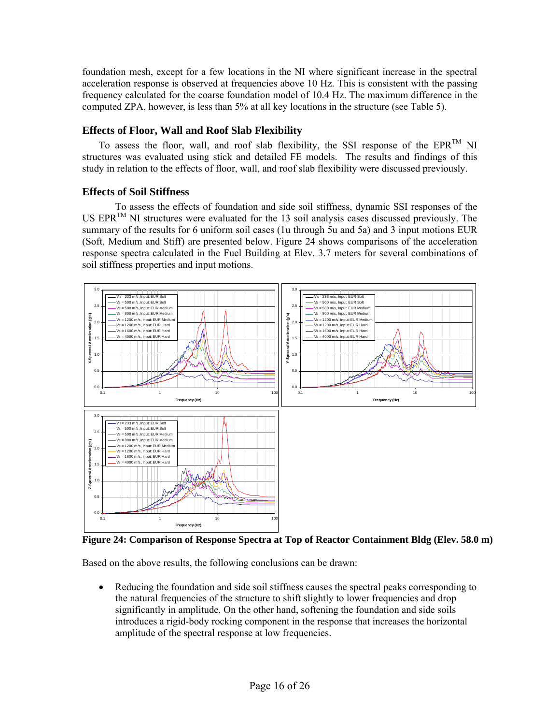foundation mesh, except for a few locations in the NI where significant increase in the spectral acceleration response is observed at frequencies above 10 Hz. This is consistent with the passing frequency calculated for the coarse foundation model of 10.4 Hz. The maximum difference in the computed ZPA, however, is less than 5% at all key locations in the structure (see Table 5).

## **Effects of Floor, Wall and Roof Slab Flexibility**

To assess the floor, wall, and roof slab flexibility, the SSI response of the EPR<sup>TM</sup> NI structures was evaluated using stick and detailed FE models. The results and findings of this study in relation to the effects of floor, wall, and roof slab flexibility were discussed previously.

# **Effects of Soil Stiffness**

To assess the effects of foundation and side soil stiffness, dynamic SSI responses of the US  $EPR^{TM}$  NI structures were evaluated for the 13 soil analysis cases discussed previously. The summary of the results for 6 uniform soil cases (1u through 5u and 5a) and 3 input motions EUR (Soft, Medium and Stiff) are presented below. Figure 24 shows comparisons of the acceleration response spectra calculated in the Fuel Building at Elev. 3.7 meters for several combinations of soil stiffness properties and input motions.



**Figure 24: Comparison of Response Spectra at Top of Reactor Containment Bldg (Elev. 58.0 m)** 

Based on the above results, the following conclusions can be drawn:

 Reducing the foundation and side soil stiffness causes the spectral peaks corresponding to the natural frequencies of the structure to shift slightly to lower frequencies and drop significantly in amplitude. On the other hand, softening the foundation and side soils introduces a rigid-body rocking component in the response that increases the horizontal amplitude of the spectral response at low frequencies.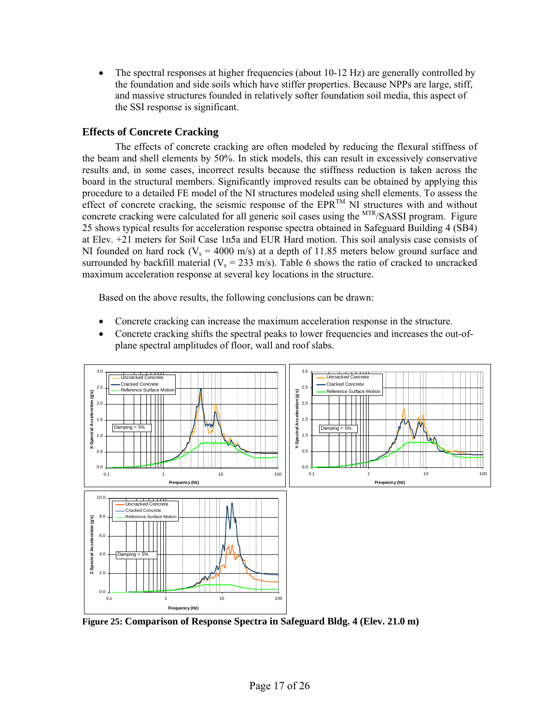• The spectral responses at higher frequencies (about 10-12 Hz) are generally controlled by the foundation and side soils which have stiffer properties. Because NPPs are large, stiff, and massive structures founded in relatively softer foundation soil media, this aspect of the SSI response is significant.

## **Effects of Concrete Cracking**

The effects of concrete cracking are often modeled by reducing the flexural stiffness of the beam and shell elements by 50%. In stick models, this can result in excessively conservative results and, in some cases, incorrect results because the stiffness reduction is taken across the board in the structural members. Significantly improved results can be obtained by applying this procedure to a detailed FE model of the NI structures modeled using shell elements. To assess the effect of concrete cracking, the seismic response of the  $EPR^{TM}$  NI structures with and without concrete cracking were calculated for all generic soil cases using the <sup>MTR</sup>/SASSI program. Figure 25 shows typical results for acceleration response spectra obtained in Safeguard Building 4 (SB4) at Elev. +21 meters for Soil Case 1n5a and EUR Hard motion. This soil analysis case consists of NI founded on hard rock ( $V_s = 4000$  m/s) at a depth of 11.85 meters below ground surface and surrounded by backfill material ( $V_s = 233$  m/s). Table 6 shows the ratio of cracked to uncracked maximum acceleration response at several key locations in the structure.

Based on the above results, the following conclusions can be drawn:

- Concrete cracking can increase the maximum acceleration response in the structure.
- Concrete cracking shifts the spectral peaks to lower frequencies and increases the out-ofplane spectral amplitudes of floor, wall and roof slabs.



**Figure 25: Comparison of Response Spectra in Safeguard Bldg. 4 (Elev. 21.0 m)**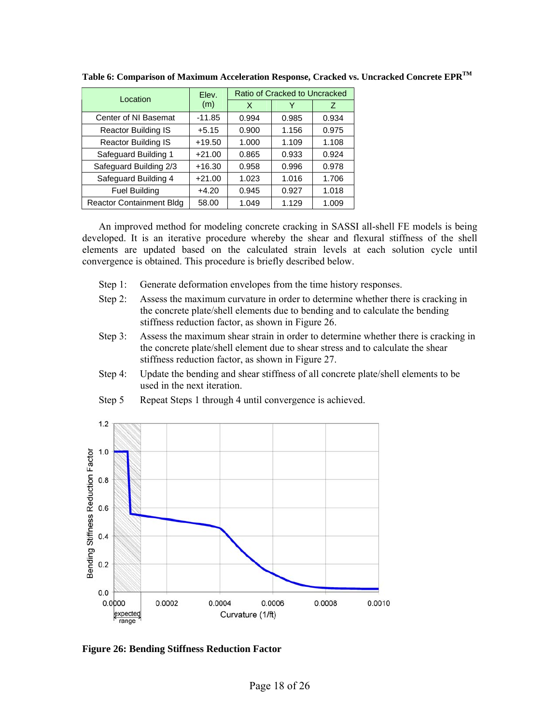| Location                        | Elev.    | Ratio of Cracked to Uncracked |       |       |  |  |
|---------------------------------|----------|-------------------------------|-------|-------|--|--|
|                                 | (m)      | X                             | Y     | Z     |  |  |
| Center of NI Basemat            | $-11.85$ | 0.994                         | 0.985 | 0.934 |  |  |
| Reactor Building IS             | $+5.15$  | 0.900                         | 1.156 | 0.975 |  |  |
| <b>Reactor Building IS</b>      | $+19.50$ | 1.000                         | 1.109 | 1.108 |  |  |
| Safeguard Building 1            | $+21.00$ | 0.865                         | 0.933 | 0.924 |  |  |
| Safeguard Building 2/3          | $+16.30$ | 0.958                         | 0.996 | 0.978 |  |  |
| Safeguard Building 4            | $+21.00$ | 1.023                         | 1.016 | 1.706 |  |  |
| <b>Fuel Building</b>            | $+4.20$  | 0.945                         | 0.927 | 1.018 |  |  |
| <b>Reactor Containment Bldg</b> | 58.00    | 1.049                         | 1.129 | 1.009 |  |  |

**Table 6: Comparison of Maximum Acceleration Response, Cracked vs. Uncracked Concrete EPRTM**

An improved method for modeling concrete cracking in SASSI all-shell FE models is being developed. It is an iterative procedure whereby the shear and flexural stiffness of the shell elements are updated based on the calculated strain levels at each solution cycle until convergence is obtained. This procedure is briefly described below.

- Step 1: Generate deformation envelopes from the time history responses.
- Step 2: Assess the maximum curvature in order to determine whether there is cracking in the concrete plate/shell elements due to bending and to calculate the bending stiffness reduction factor, as shown in Figure 26.
- Step 3: Assess the maximum shear strain in order to determine whether there is cracking in the concrete plate/shell element due to shear stress and to calculate the shear stiffness reduction factor, as shown in Figure 27.
- Step 4: Update the bending and shear stiffness of all concrete plate/shell elements to be used in the next iteration.



Step 5 Repeat Steps 1 through 4 until convergence is achieved.

**Figure 26: Bending Stiffness Reduction Factor**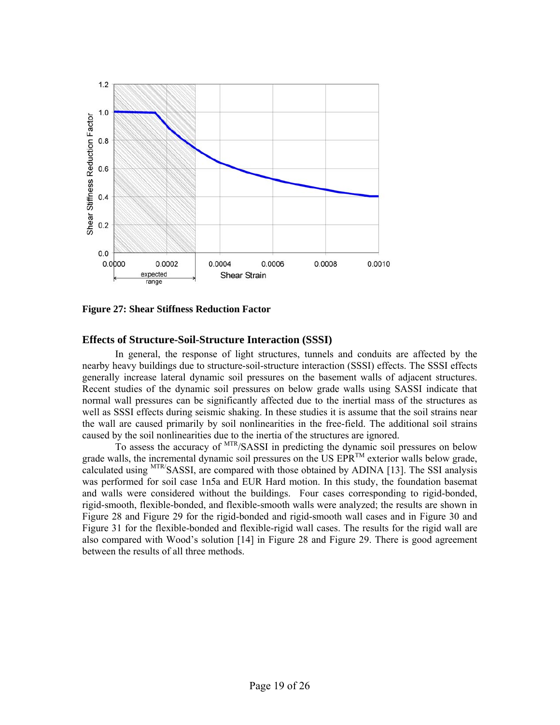

**Figure 27: Shear Stiffness Reduction Factor** 

## **Effects of Structure-Soil-Structure Interaction (SSSI)**

In general, the response of light structures, tunnels and conduits are affected by the nearby heavy buildings due to structure-soil-structure interaction (SSSI) effects. The SSSI effects generally increase lateral dynamic soil pressures on the basement walls of adjacent structures. Recent studies of the dynamic soil pressures on below grade walls using SASSI indicate that normal wall pressures can be significantly affected due to the inertial mass of the structures as well as SSSI effects during seismic shaking. In these studies it is assume that the soil strains near the wall are caused primarily by soil nonlinearities in the free-field. The additional soil strains caused by the soil nonlinearities due to the inertia of the structures are ignored.

To assess the accuracy of MTR/SASSI in predicting the dynamic soil pressures on below grade walls, the incremental dynamic soil pressures on the US  $EPR^{TM}$  exterior walls below grade, calculated using MTR/SASSI, are compared with those obtained by ADINA [13]. The SSI analysis was performed for soil case 1n5a and EUR Hard motion. In this study, the foundation basemat and walls were considered without the buildings. Four cases corresponding to rigid-bonded, rigid-smooth, flexible-bonded, and flexible-smooth walls were analyzed; the results are shown in Figure 28 and Figure 29 for the rigid-bonded and rigid-smooth wall cases and in Figure 30 and Figure 31 for the flexible-bonded and flexible-rigid wall cases. The results for the rigid wall are also compared with Wood's solution [14] in Figure 28 and Figure 29. There is good agreement between the results of all three methods.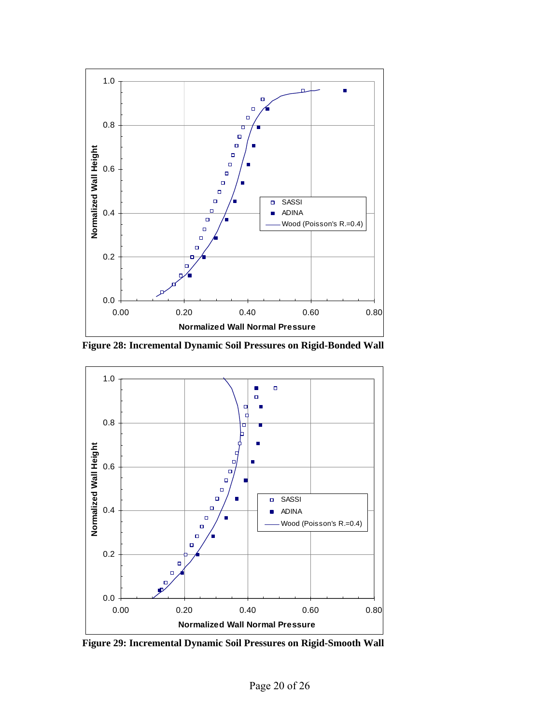

**Figure 28: Incremental Dynamic Soil Pressures on Rigid-Bonded Wall** 



**Figure 29: Incremental Dynamic Soil Pressures on Rigid-Smooth Wall**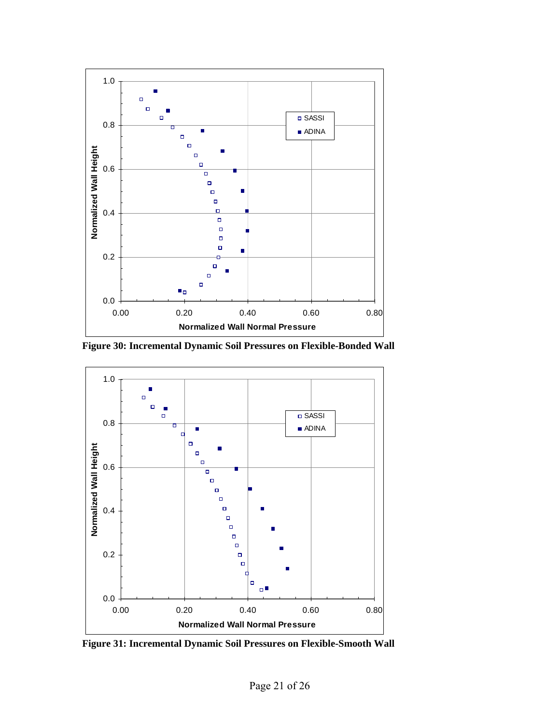

**Figure 30: Incremental Dynamic Soil Pressures on Flexible-Bonded Wall** 



**Figure 31: Incremental Dynamic Soil Pressures on Flexible-Smooth Wall**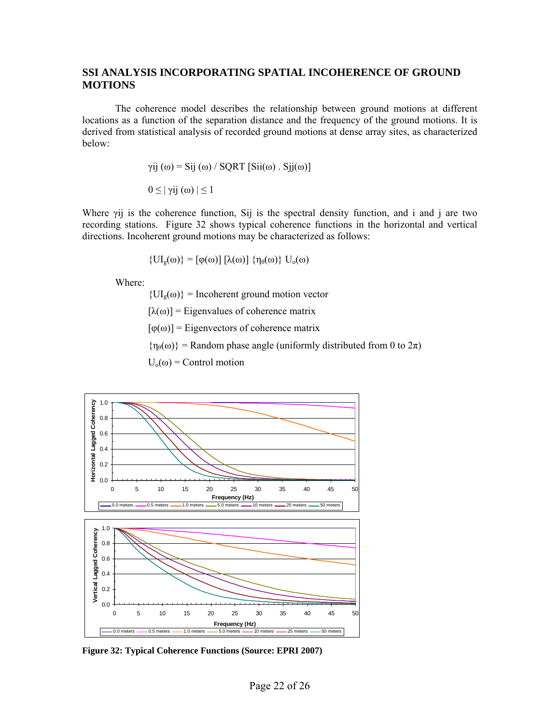### **SSI ANALYSIS INCORPORATING SPATIAL INCOHERENCE OF GROUND MOTIONS**

The coherence model describes the relationship between ground motions at different locations as a function of the separation distance and the frequency of the ground motions. It is derived from statistical analysis of recorded ground motions at dense array sites, as characterized below:

$$
\gamma ij(\omega) = Sij(\omega) / SQRT [Sii(\omega) . Sjj(\omega)]
$$

$$
0 \leq |\gamma ij(\omega)| \leq 1
$$

Where γij is the coherence function, Sij is the spectral density function, and i and j are two recording stations. Figure 32 shows typical coherence functions in the horizontal and vertical directions. Incoherent ground motions may be characterized as follows:

$$
\{UI_g(\omega)\} = [\varphi(\omega)] [\lambda(\omega)] \{ \eta_{\theta}(\omega) \} U_o(\omega)
$$

Where:

 ${U_I_{g}(\omega)} = Incoherent ground motion vector$ 

 $[\lambda(\omega)]$  = Eigenvalues of coherence matrix

 $[\varphi(\omega)]$  = Eigenvectors of coherence matrix

 $\{\eta_{\theta}(\omega)\}$  = Random phase angle (uniformly distributed from 0 to  $2\pi$ )

 $U_0(\omega)$  = Control motion



**Figure 32: Typical Coherence Functions (Source: EPRI 2007)**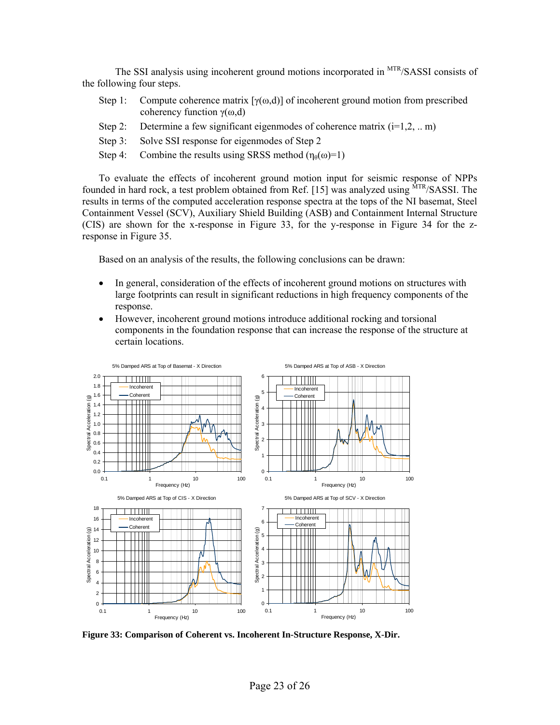The SSI analysis using incoherent ground motions incorporated in <sup>MTR</sup>/SASSI consists of the following four steps.

- Step 1: Compute coherence matrix  $[\gamma(\omega,d)]$  of incoherent ground motion from prescribed coherency function  $γ(ω,d)$
- Step 2: Determine a few significant eigenmodes of coherence matrix  $(i=1,2,..,m)$
- Step 3: Solve SSI response for eigenmodes of Step 2
- Step 4: Combine the results using SRSS method  $(\eta_{\theta}(\omega)=1)$

To evaluate the effects of incoherent ground motion input for seismic response of NPPs founded in hard rock, a test problem obtained from Ref. [15] was analyzed using  $MTR/SASSI$ . The results in terms of the computed acceleration response spectra at the tops of the NI basemat, Steel Containment Vessel (SCV), Auxiliary Shield Building (ASB) and Containment Internal Structure (CIS) are shown for the x-response in Figure 33, for the y-response in Figure 34 for the zresponse in Figure 35.

Based on an analysis of the results, the following conclusions can be drawn:

- In general, consideration of the effects of incoherent ground motions on structures with large footprints can result in significant reductions in high frequency components of the response.
- However, incoherent ground motions introduce additional rocking and torsional components in the foundation response that can increase the response of the structure at certain locations.



**Figure 33: Comparison of Coherent vs. Incoherent In-Structure Response, X-Dir.**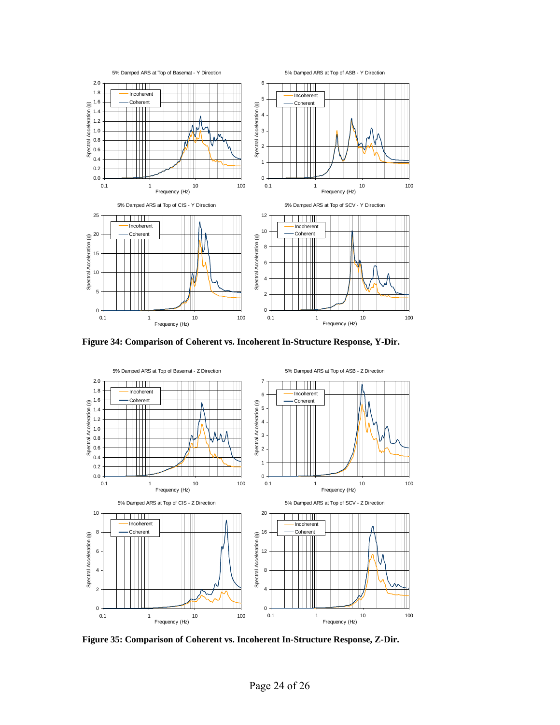

**Figure 34: Comparison of Coherent vs. Incoherent In-Structure Response, Y-Dir.**



**Figure 35: Comparison of Coherent vs. Incoherent In-Structure Response, Z-Dir.**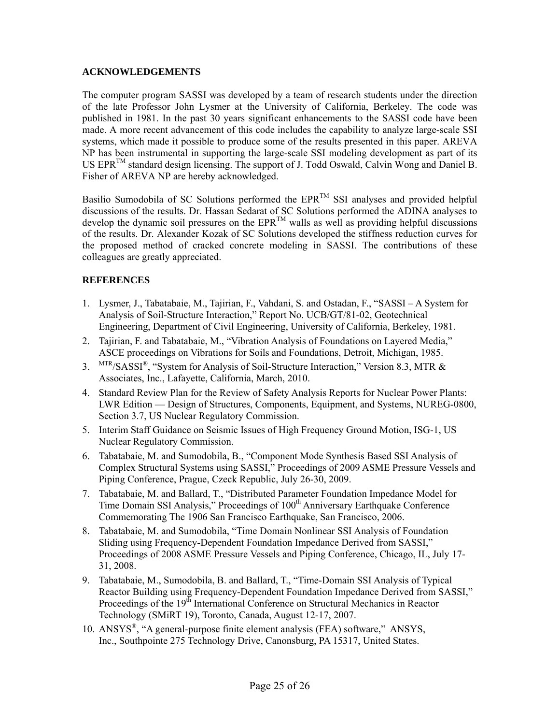### **ACKNOWLEDGEMENTS**

The computer program SASSI was developed by a team of research students under the direction of the late Professor John Lysmer at the University of California, Berkeley. The code was published in 1981. In the past 30 years significant enhancements to the SASSI code have been made. A more recent advancement of this code includes the capability to analyze large-scale SSI systems, which made it possible to produce some of the results presented in this paper. AREVA NP has been instrumental in supporting the large-scale SSI modeling development as part of its US EPRTM standard design licensing. The support of J. Todd Oswald, Calvin Wong and Daniel B. Fisher of AREVA NP are hereby acknowledged.

Basilio Sumodobila of SC Solutions performed the  $EPR^{TM}$  SSI analyses and provided helpful discussions of the results. Dr. Hassan Sedarat of SC Solutions performed the ADINA analyses to develop the dynamic soil pressures on the  $EPR^{TM}$  walls as well as providing helpful discussions of the results. Dr. Alexander Kozak of SC Solutions developed the stiffness reduction curves for the proposed method of cracked concrete modeling in SASSI. The contributions of these colleagues are greatly appreciated.

## **REFERENCES**

- 1. Lysmer, J., Tabatabaie, M., Tajirian, F., Vahdani, S. and Ostadan, F., "SASSI A System for Analysis of Soil-Structure Interaction," Report No. UCB/GT/81-02, Geotechnical Engineering, Department of Civil Engineering, University of California, Berkeley, 1981.
- 2. Tajirian, F. and Tabatabaie, M., "Vibration Analysis of Foundations on Layered Media," ASCE proceedings on Vibrations for Soils and Foundations, Detroit, Michigan, 1985.
- 3. MTR/SASSI®, "System for Analysis of Soil-Structure Interaction," Version 8.3, MTR & Associates, Inc., Lafayette, California, March, 2010.
- 4. Standard Review Plan for the Review of Safety Analysis Reports for Nuclear Power Plants: LWR Edition — Design of Structures, Components, Equipment, and Systems, NUREG-0800, Section 3.7, US Nuclear Regulatory Commission.
- 5. Interim Staff Guidance on Seismic Issues of High Frequency Ground Motion, ISG-1, US Nuclear Regulatory Commission.
- 6. Tabatabaie, M. and Sumodobila, B., "Component Mode Synthesis Based SSI Analysis of Complex Structural Systems using SASSI," Proceedings of 2009 ASME Pressure Vessels and Piping Conference, Prague, Czeck Republic, July 26-30, 2009.
- 7. Tabatabaie, M. and Ballard, T., "Distributed Parameter Foundation Impedance Model for Time Domain SSI Analysis," Proceedings of 100<sup>th</sup> Anniversary Earthquake Conference Commemorating The 1906 San Francisco Earthquake, San Francisco, 2006.
- 8. Tabatabaie, M. and Sumodobila, "Time Domain Nonlinear SSI Analysis of Foundation Sliding using Frequency-Dependent Foundation Impedance Derived from SASSI," Proceedings of 2008 ASME Pressure Vessels and Piping Conference, Chicago, IL, July 17- 31, 2008.
- 9. Tabatabaie, M., Sumodobila, B. and Ballard, T., "Time-Domain SSI Analysis of Typical Reactor Building using Frequency-Dependent Foundation Impedance Derived from SASSI," Proceedings of the 19<sup>th</sup> International Conference on Structural Mechanics in Reactor Technology (SMiRT 19), Toronto, Canada, August 12-17, 2007.
- 10. ANSYS®, "A general-purpose finite element analysis (FEA) software," ANSYS, Inc., Southpointe 275 Technology Drive, Canonsburg, PA 15317, United States.